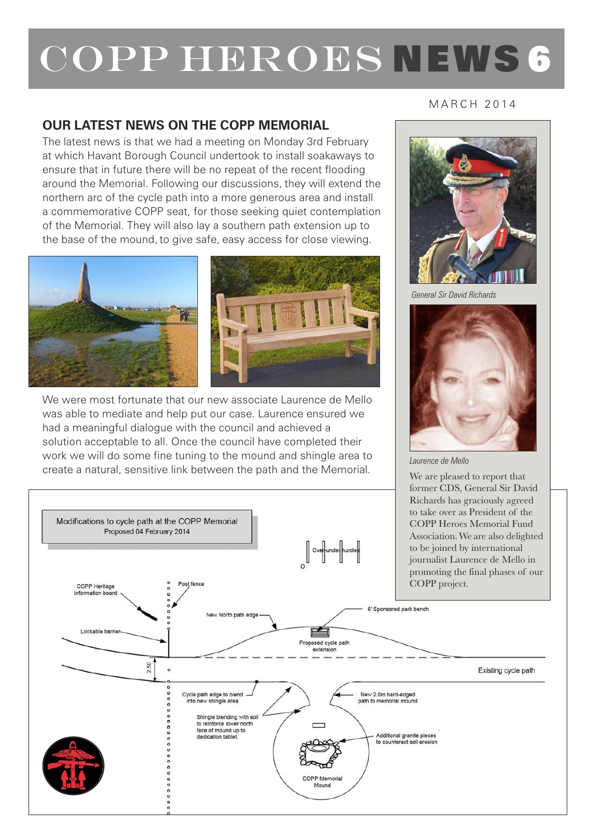## COPP HEROES NEWS 6

## **OUR LATEST NEWS ON THE COPP MEMORIAL**

The latest news is that we had a meeting on Monday 3rd February at which Havant Borough Council undertook to install soakaways to ensure that in future there will be no repeat of the recent flooding around the Memorial. Following our discussions, they will extend the northern arc of the cycle path into a more generous area and install a commemorative COPP seat, for those seeking quiet contemplation of the Memorial. They will also lay a southern path extension up to the base of the mound, to give safe, easy access for close viewing.



We were most fortunate that our new associate Laurence de Mello was able to mediate and help put our case. Laurence ensured we had a meaningful dialogue with the council and achieved a solution acceptable to all. Once the council have completed their work we will do some fine tuning to the mound and shingle area to create a natural, sensitive link between the path and the Memorial.

M A R C H 2 0 1 4



*General Sir David Richards*



*Laurence de Mello*

We are pleased to report that former CDS, General Sir David Richards has graciously agreed